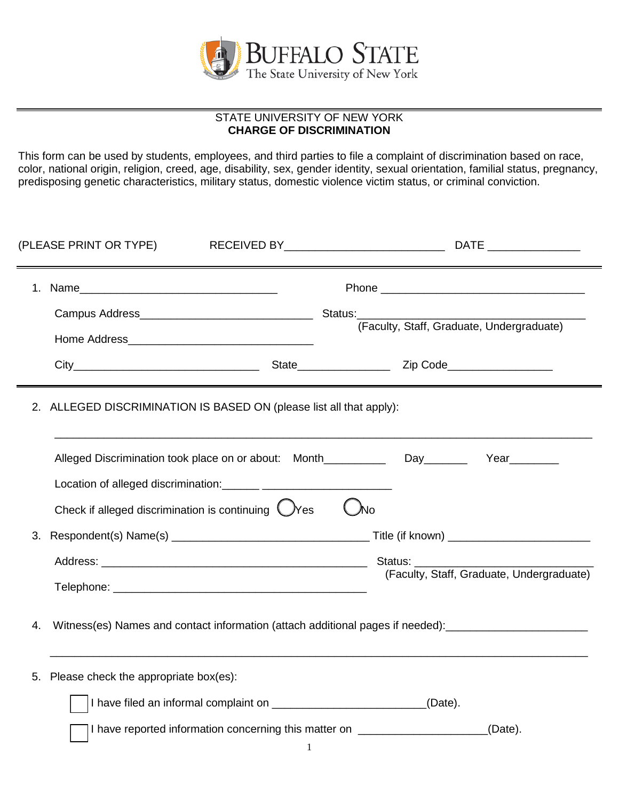

## STATE UNIVERSITY OF NEW YORK **CHARGE OF DISCRIMINATION**

This form can be used by students, employees, and third parties to file a complaint of discrimination based on race, color, national origin, religion, creed, age, disability, sex, gender identity, sexual orientation, familial status, pregnancy, predisposing genetic characteristics, military status, domestic violence victim status, or criminal conviction.

|    | (PLEASE PRINT OR TYPE)                                              |              | RECEIVED BY RECEIVED BY<br>DATE __________________                                                   |  |
|----|---------------------------------------------------------------------|--------------|------------------------------------------------------------------------------------------------------|--|
|    |                                                                     |              |                                                                                                      |  |
|    |                                                                     |              | (Faculty, Staff, Graduate, Undergraduate)                                                            |  |
|    |                                                                     |              |                                                                                                      |  |
|    | 2. ALLEGED DISCRIMINATION IS BASED ON (please list all that apply): |              |                                                                                                      |  |
|    |                                                                     |              | Alleged Discrimination took place on or about: Month____________________Day_________<br>Year________ |  |
|    | Check if alleged discrimination is continuing $\bigcirc$ Yes        |              | $\bigcup$ No                                                                                         |  |
| 3. |                                                                     |              |                                                                                                      |  |
|    |                                                                     |              | (Faculty, Staff, Graduate, Undergraduate)                                                            |  |
| 4. |                                                                     |              | Witness(es) Names and contact information (attach additional pages if needed): _____________________ |  |
| 5. | Please check the appropriate box(es):                               |              |                                                                                                      |  |
|    |                                                                     |              | I have filed an informal complaint on ____________________________(Date).                            |  |
|    |                                                                     | $\mathbf{1}$ | I have reported information concerning this matter on __________________________<br>(Date).          |  |